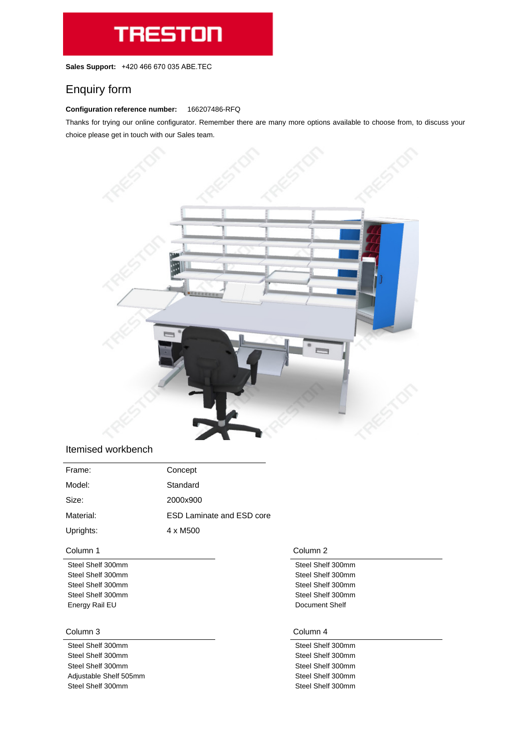# **TRESTON**

**Sales Support: +420 466 670 035 ABE.TEC** 

# Enquiry form

#### **Configuration reference number:** 166207486-RFQ

Thanks for trying our online configurator. Remember there are many more options available to choose from, to discuss your choice please get in touch with our Sales team.



### Itemised workbench

| Frame:    | Concept                          |  |
|-----------|----------------------------------|--|
| Model:    | Standard                         |  |
| Size:     | 2000x900                         |  |
| Material: | <b>ESD Laminate and ESD core</b> |  |
| Uprights: | 4 x M500                         |  |

#### Column 1 Column 2

Steel Shelf 300mm Steel Shelf 300mm Steel Shelf 300mm Steel Shelf 300mm Steel Shelf 300mm Steel Shelf 300mm Steel Shelf 300mm Steel Shelf 300mm Energy Rail EU **Document Shelf** 

#### Column 3 Column 4

Steel Shelf 300mm Steel Shelf 300mm Steel Shelf 300mm Steel Shelf 300mm Steel Shelf 300mm Steel Shelf 300mm Adjustable Shelf 505mm Steel Shelf 300mm Steel Shelf 300mm Steel Shelf 300mm Steel Shelf 300mm